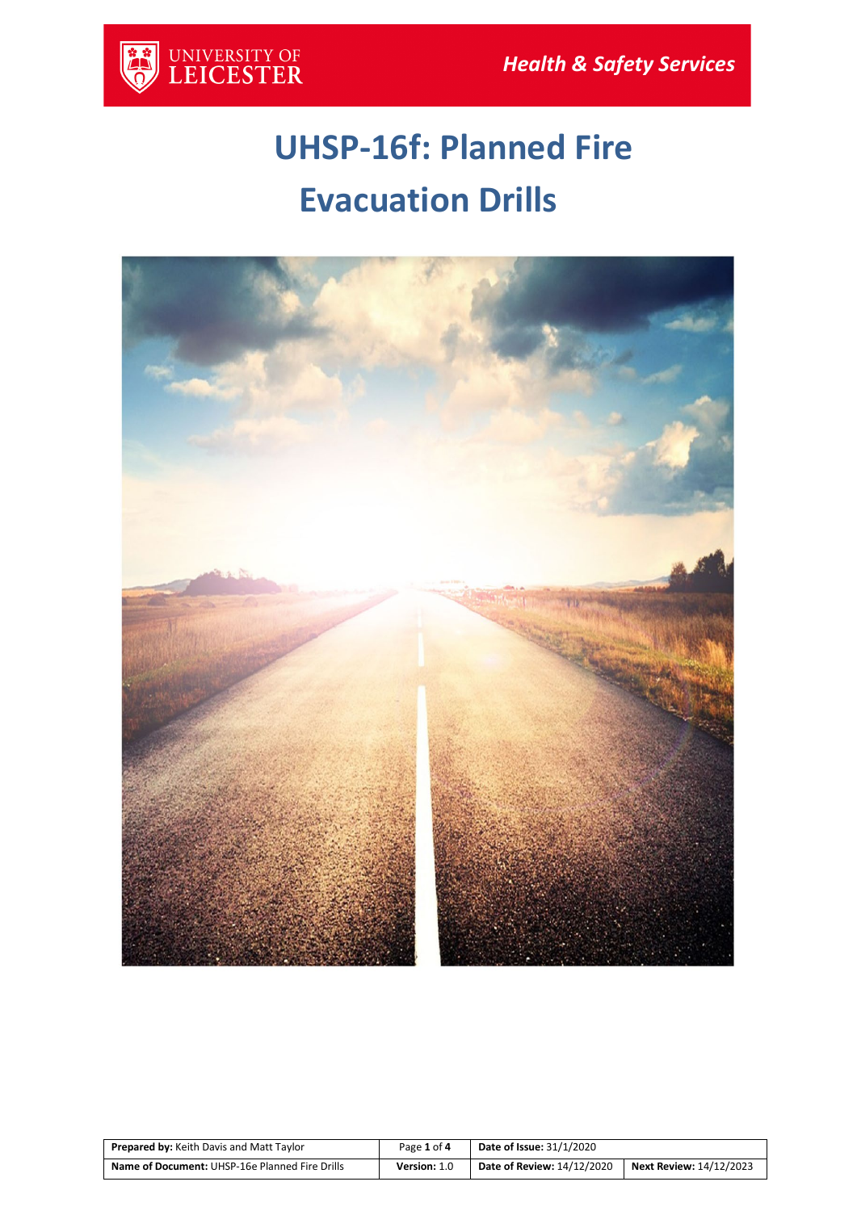

# **UHSP-16f: Planned Fire Evacuation Drills**



| <b>Prepared by: Keith Davis and Matt Taylor</b> | Page 1 of 4  | <b>Date of Issue: 31/1/2020</b>   |                         |
|-------------------------------------------------|--------------|-----------------------------------|-------------------------|
| Name of Document: UHSP-16e Planned Fire Drills  | Version: 1.0 | <b>Date of Review: 14/12/2020</b> | Next Review: 14/12/2023 |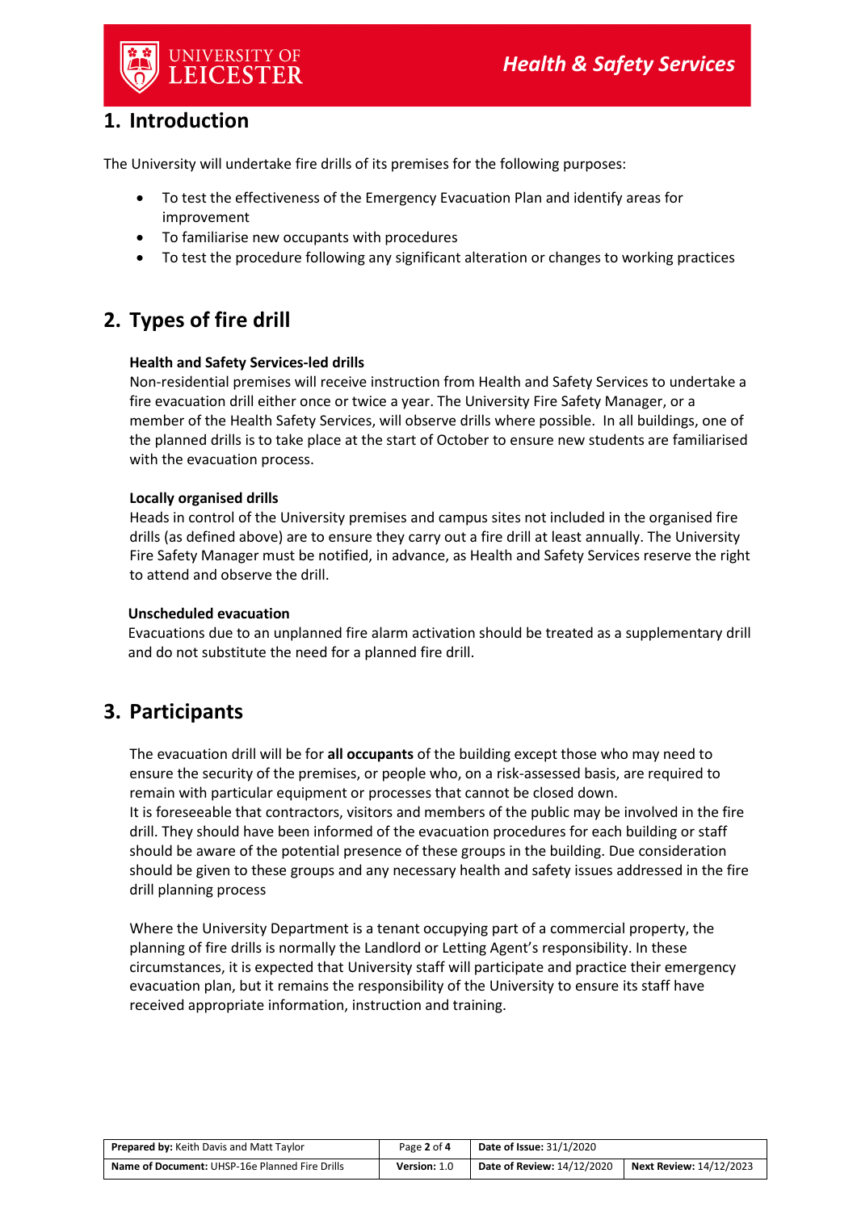

## **1. Introduction**

The University will undertake fire drills of its premises for the following purposes:

- To test the effectiveness of the Emergency Evacuation Plan and identify areas for improvement
- To familiarise new occupants with procedures
- To test the procedure following any significant alteration or changes to working practices

## **2. Types of fire drill**

#### **Health and Safety Services-led drills**

Non-residential premises will receive instruction from Health and Safety Services to undertake a fire evacuation drill either once or twice a year. The University Fire Safety Manager, or a member of the Health Safety Services, will observe drills where possible. In all buildings, one of the planned drills is to take place at the start of October to ensure new students are familiarised with the evacuation process.

#### **Locally organised drills**

Heads in control of the University premises and campus sites not included in the organised fire drills (as defined above) are to ensure they carry out a fire drill at least annually. The University Fire Safety Manager must be notified, in advance, as Health and Safety Services reserve the right to attend and observe the drill.

#### **Unscheduled evacuation**

Evacuations due to an unplanned fire alarm activation should be treated as a supplementary drill and do not substitute the need for a planned fire drill.

## **3. Participants**

The evacuation drill will be for **all occupants** of the building except those who may need to ensure the security of the premises, or people who, on a risk-assessed basis, are required to remain with particular equipment or processes that cannot be closed down. It is foreseeable that contractors, visitors and members of the public may be involved in the fire drill. They should have been informed of the evacuation procedures for each building or staff should be aware of the potential presence of these groups in the building. Due consideration should be given to these groups and any necessary health and safety issues addressed in the fire drill planning process

Where the University Department is a tenant occupying part of a commercial property, the planning of fire drills is normally the Landlord or Letting Agent's responsibility. In these circumstances, it is expected that University staff will participate and practice their emergency evacuation plan, but it remains the responsibility of the University to ensure its staff have received appropriate information, instruction and training.

| <b>Prepared by: Keith Davis and Matt Taylor</b> | Page 2 of 4  | <b>Date of Issue: 31/1/2020</b>   |                         |
|-------------------------------------------------|--------------|-----------------------------------|-------------------------|
| Name of Document: UHSP-16e Planned Fire Drills  | Version: 1.0 | <b>Date of Review: 14/12/2020</b> | Next Review: 14/12/2023 |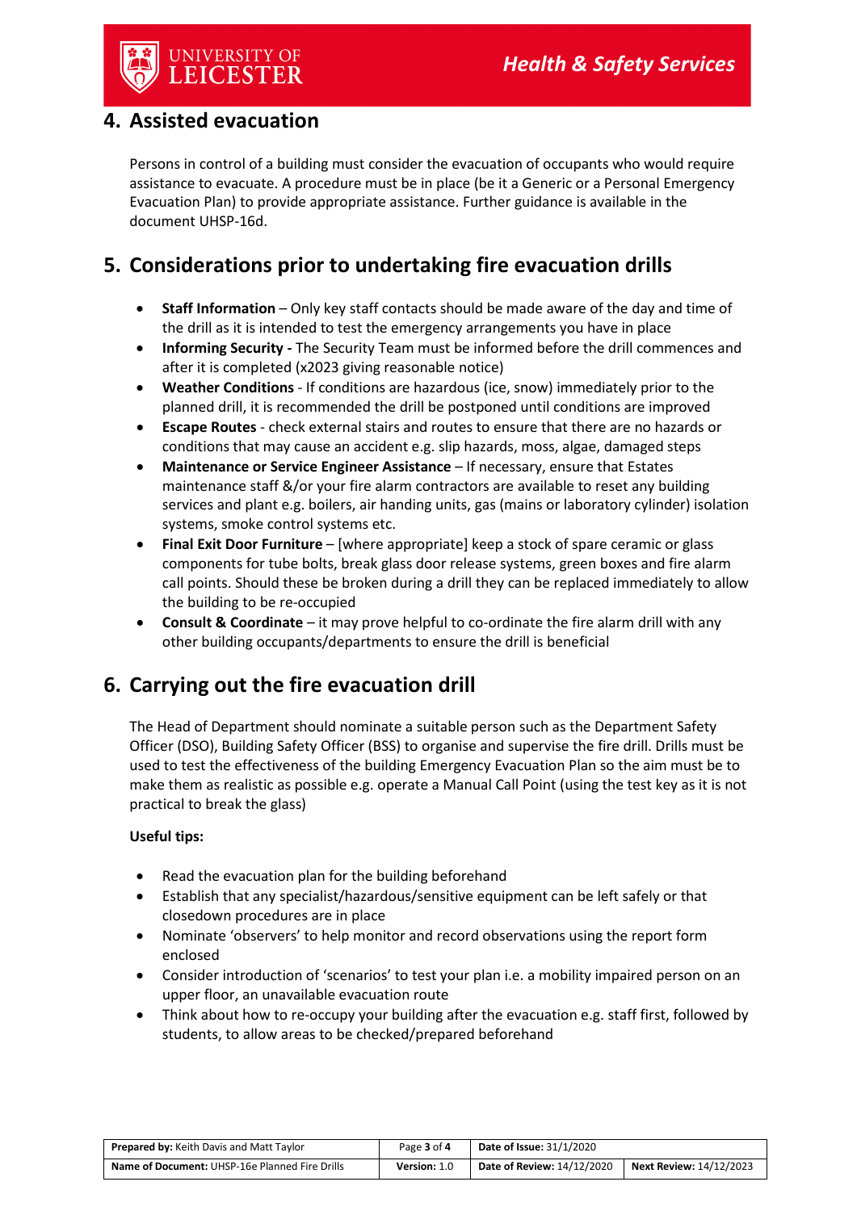## **4. Assisted evacuation**

Persons in control of a building must consider the evacuation of occupants who would require assistance to evacuate. A procedure must be in place (be it a Generic or a Personal Emergency Evacuation Plan) to provide appropriate assistance. Further guidance is available in the document UHSP-16d.

# **5. Considerations prior to undertaking fire evacuation drills**

- **Staff Information**  Only key staff contacts should be made aware of the day and time of the drill as it is intended to test the emergency arrangements you have in place
- **Informing Security -** The Security Team must be informed before the drill commences and after it is completed (x2023 giving reasonable notice)
- **Weather Conditions**  If conditions are hazardous (ice, snow) immediately prior to the planned drill, it is recommended the drill be postponed until conditions are improved
- **Escape Routes**  check external stairs and routes to ensure that there are no hazards or conditions that may cause an accident e.g. slip hazards, moss, algae, damaged steps
- **Maintenance or Service Engineer Assistance**  If necessary, ensure that Estates maintenance staff &/or your fire alarm contractors are available to reset any building services and plant e.g. boilers, air handing units, gas (mains or laboratory cylinder) isolation systems, smoke control systems etc.
- **Final Exit Door Furniture**  [where appropriate] keep a stock of spare ceramic or glass components for tube bolts, break glass door release systems, green boxes and fire alarm call points. Should these be broken during a drill they can be replaced immediately to allow the building to be re-occupied
- **Consult & Coordinate**  it may prove helpful to co-ordinate the fire alarm drill with any other building occupants/departments to ensure the drill is beneficial

# **6. Carrying out the fire evacuation drill**

The Head of Department should nominate a suitable person such as the Department Safety Officer (DSO), Building Safety Officer (BSS) to organise and supervise the fire drill. Drills must be used to test the effectiveness of the building Emergency Evacuation Plan so the aim must be to make them as realistic as possible e.g. operate a Manual Call Point (using the test key as it is not practical to break the glass)

#### **Useful tips:**

- Read the evacuation plan for the building beforehand
- Establish that any specialist/hazardous/sensitive equipment can be left safely or that closedown procedures are in place
- Nominate 'observers' to help monitor and record observations using the report form enclosed
- Consider introduction of 'scenarios' to test your plan i.e. a mobility impaired person on an upper floor, an unavailable evacuation route
- Think about how to re-occupy your building after the evacuation e.g. staff first, followed by students, to allow areas to be checked/prepared beforehand

| <b>Prepared by: Keith Davis and Matt Taylor</b>       | Page 3 of 4         | <b>Date of Issue: 31/1/2020</b>   |                                |
|-------------------------------------------------------|---------------------|-----------------------------------|--------------------------------|
| <b>Name of Document: UHSP-16e Planned Fire Drills</b> | <b>Version: 1.0</b> | <b>Date of Review: 14/12/2020</b> | <b>Next Review: 14/12/2023</b> |